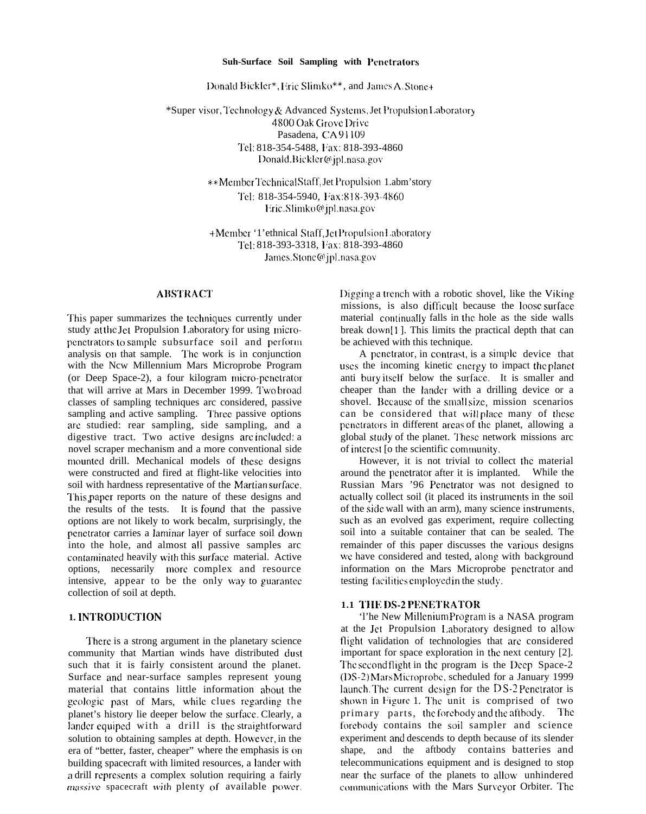#### Suh-Surface Soil Sampling with Penetrators

Donald Bickler\*, Eric Slimko\*\*, and James A. Stone+

\*Super visor, Technology & Advanced Systems, Jet Propulsion Laboratory 4800 Oak Grove Drive Pasadena, CA 91109 Tel: 818-354-5488, Fax: 818-393-4860 Donald.Bickler@jpl.nasa.gov

> \*\* Member Technical Staff, Jet Propulsion 1.abm'story Tel: 818-354-5940, Fax:818-393-4860 Eric.Slimko@jpl.nasa.gov

> +Member '1'ethnical Staff, JetPropulsionLaboratory Tel: 818-393-3318, Fax: 818-393-4860 James.Stone@jpl.nasa.gov

# **ABSTRACT**

This paper summarizes the techniques currently under study at the Jet Propulsion Laboratory for using micropenetrators to sample subsurface soil and perform analysis on that sample. The work is in conjunction with the Ncw Millennium Mars Microprobe Program (or Deep Space-2), a four kilogram micro-penetrator that will arrive at Mars in December 1999. Two broad classes of sampling techniques arc considered, passive sampling and active sampling. Three passive options are studied: rear sampling, side sampling, and a digestive tract. Two active designs are included: a novel scraper mechanism and a more conventional side mounted drill. Mechanical models of these designs were constructed and fired at flight-like velocities into soil with hardness representative of the Martian surface. This paper reports on the nature of these designs and the results of the tests. It is found that the passive options are not likely to work becalm, surprisingly, the penetrator carries a laminar layer of surface soil down into the hole, and almost all passive samples arc contaminated heavily with this surface material. Active options, necessarily more complex and resource intensive, appear to be the only way to guarantee collection of soil at depth.

# 1. INTRODUCTION

There is a strong argument in the planetary science community that Martian winds have distributed dust such that it is fairly consistent around the planet. Surface and near-surface samples represent young material that contains little information about the geologic past of Mars, while clues regarding the planet's history lie deeper below the surface. Clearly, a lander equiped with a drill is the straightforward solution to obtaining samples at depth. However, in the era of "better, faster, cheaper" where the emphasis is on building spacecraft with limited resources, a lander with a drill represents a complex solution requiring a fairly massive spacecraft with plenty of available power.

Digging a trench with a robotic shovel, like the Viking missions, is also difficult because the loose surface material continually falls in the hole as the side walls break down[1]. This limits the practical depth that can be achieved with this technique.

A penetrator, in contrast, is a simple device that uses the incoming kinetic energy to impact the planet anti bury itself below the surface. It is smaller and cheaper than the lander with a drilling device or a shovel. Because of the small size, mission scenarios can be considered that will place many of these penetrators in different areas of the planet, allowing a global study of the planet. These network missions arc of interest [o the scientific community.

However, it is not trivial to collect the material around the penetrator after it is implanted. While the Russian Mars '96 Penetrator was not designed to actually collect soil (it placed its instruments in the soil of the side wall with an arm), many science instruments, such as an evolved gas experiment, require collecting soil into a suitable container that can be sealed. The remainder of this paper discusses the various designs we have considered and tested, along with background information on the Mars Microprobe penetrator and testing facilities employed in the study.

#### 1.1 THE DS-2 PENETRATOR

The New Millenium Program is a NASA program at the Jet Propulsion Laboratory designed to allow flight validation of technologies that are considered important for space exploration in the next century [2]. The second flight in the program is the Deep Space-2 (DS-2) Mars Microprobe, scheduled for a January 1999 launch. The current design for the  $DS-2$  Penetrator is shown in Figure 1. The unit is comprised of two primary parts, the forebody and the aftbody. - The forebody contains the soil sampler and science experiment and descends to depth because of its slender shape, and the aftbody contains batteries and telecommunications equipment and is designed to stop near the surface of the planets to allow unhindered communications with the Mars Surveyor Orbiter. The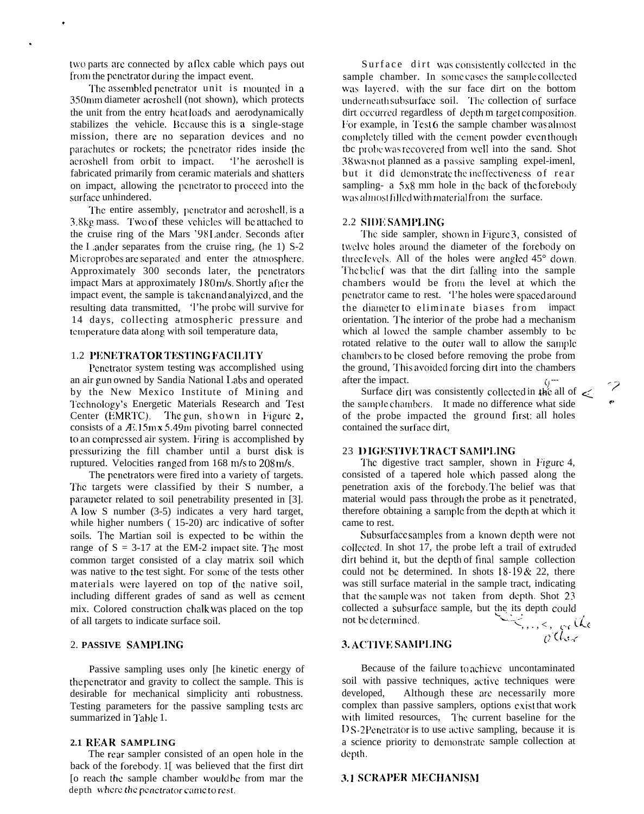two parts are connected by a llex cable which pays out from the penetrator during the impact event.

.

The assembled penetrator unit is mounted in a 350mm diameter acroshell (not shown), which protects the unit from the entry heat loads and aerodynamically stabilizes the vehicle. Dccausc this is a single-stage mission, there arc no separation devices and no parachutes or rockets; the penetrator rides inside the aeroshell from orbit to impact. 'l'he aeroshell is fabricated primarily from ceramic materials and shatters on impact, allowing the penetrator to proceed into the surface unhindered.

The entire assembly, penetrator and aeroshell, is a 3.8kg mass. Two of these vehicles will be attached to the cruise ring of the Mars '98 1.andcr. Seconds after the I .andcr separates from the cruise ring, (he 1) S-2 Microprobes are separated and enter the atmosphere. Approximately 300 seconds later, the pcnctrators impact Mars at approximately 180 m/s. Shortly after the impact event, the sample is taken and analyizccl, and the resulting data transmitted, 'l'he probe will survive for 14 days, collecting atmospheric pressure and temperature data along with soil temperature data,

# **1.2 PENETRATOR TESTING FACILITY**

Pcnclrator system testing was accomplished using an air gun owned by Sandia National Labs and operated by the New Mexico Institute of Mining and Technology's Energetic Materials Research and Test Center (EMRTC). The gun, shown in Figure 2, consists of a  $\overline{A}$ . 15mx 5.49m pivoting barrel connected to an compressed air system. Firing is accomplished by pressurizing the fill chamber until a burst disk is ruptured. Velocities ranged from  $168 \text{ m/s}$  to  $208 \text{ m/s}$ .

The penctrators were fired into a variety of targets. The targets were classified by their S number, a parameter related to soil penetrability presented in [3]. A low, S number (3-5) indicates a very hard target, while higher numbers ( 15-20) arc indicative of softer soils. The Martian soil is expected to be within the range of  $S = 3-17$  at the EM-2 impact site. The most common target consisted of a clay matrix soil which was native to the test sight. For some of the tests other materials were layered on top of the native soil, including different grades of sand as well as cement mix. Colored construction chalk was placed on the top of all targets to indicate surface soil.

# 2. **PASSIVE SAMPLING**

Passive sampling uses only [he kinetic energy of the pcnctrator and gravity to collect the sample. This is desirable for mechanical simplicity anti robustness. Testing parameters for the passive sampling tests arc summarized in Table 1.

# **2.1 REAR SAMPLING**

The rear sampler consisted of an open hole in the back of the forcbody. 1[ was believed that the first dirt [o reach the sample chamber woulcl be from mar the depth where the penetrator came to rest.

Surface dirt was consistently collected in the sample chamber. In some cases the sample collected was layered, with the sur face dirt on the bottom underneath subsurface soil. The collection of surface dirt occurred regardless of depth m target composition. For example, in Test 6 the sample chamber was almost completely tilled with the cement powder even though tbc probe was recovered from well into the sand. Shot  $38$  was not planned as a passive sampling expel-imenl, but it did demonstrate the ineffectiveness of rear sampling- a  $5x8$  mm hole in the back of the forebody was almost filled with material from the surface.

#### 2.2 SIDE SAMPLING

The side sampler, shown in Figure 3, consisted of twelve holes around the diameter of the forebody on three levels. All of the holes were angled  $45^{\circ}$  down. The belief was that the dirt falling into the sample chambers would be from the level at which the penetrator came to rest. 'l'he holes were spaced around the diameter to eliminate biases from impact orientation. The interior of the probe had a mechanism which al lowed the sample chamber assembly to be rotated relative to the outer wall to allow the sample chambers to be closed before removing the probe from the ground, This avoided forcing dirt into the chambers after the impact.

Surface dirt was consistently collected in the all of  $\leq$ the sample charnbcrs. It made no difference what side of the probe impacted the ground first; all holes contained the surface dirt,

#### **23 DIGESTIVE TRACT SAMPLING**

The digestive tract sampler, shown in Figure 4, consisted of a tapered hole which passed along the penetration axis of the forebody. The belief was that material would pass through the probe as it penetrated, therefore obtaining a sample from the depth at which it came to rest.

Subsurface samples from a known depth were not collected. In shot 17, the probe left a trail of extruded dirt behind it, but the depth of final sample collection could not be determined. In shots  $18-19 & 22$ , there was still surface material in the sample tract, indicating that the sample was not taken from depth. Shot 23 collected a subsurface sample, but the its depth could not be determined.  $\vdots, \ldots, \varsigma, \varphi_{\mathfrak{c}}$  the

 $\partial$  (ke  $<$ 

# 3. **ACT1\'E** SAhll'1.ING

Because of the failure to achicvc uncontaminated soil with passive techniques, active techniques were developed, Although these arc necessarily more complex than passive samplers, options exist that work with limited resources, The current baseline for the 1) S-2 Penctrator is to use active sampling, because it is a science priority to demonstrate sample collection at depth.

#### 3.1 **SCRAJ'EI? }IECIIANISNI**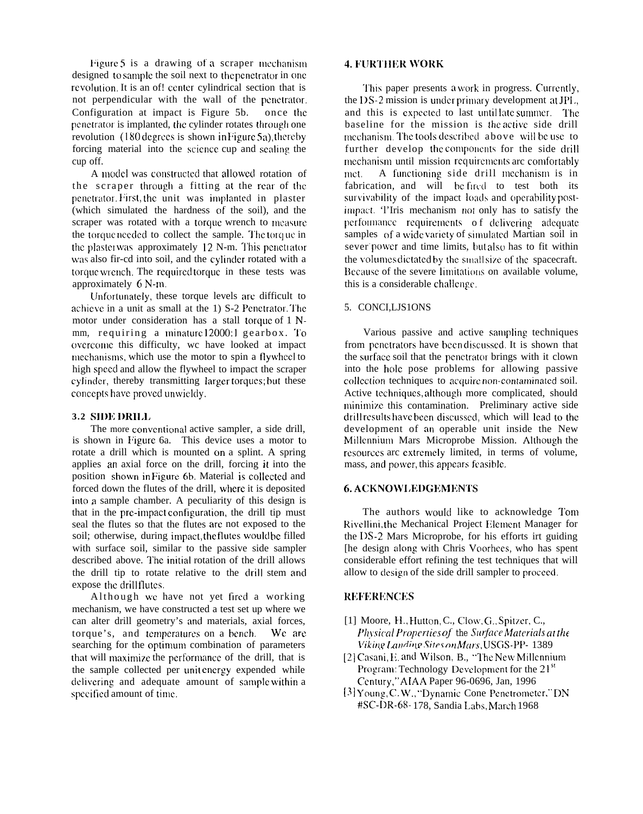Figure 5 is a drawing of a scraper mechanism designed to sample the soil next to the penetrator in one revolution. It is an of! center cylindrical section that is not perpendicular with the wall of the penetrator. Configuration at impact is Figure  $5b$ . once the penetrator is implanted, the cylinder rotates through one revolution  $(180 \text{ degrees is shown in Figure 5a})$ , thereby forcing material into the scicncc cup and scaling the cup off.

A model was constructed that allowed rotation of the scraper through a fitting at the rear of the penetrator. First, the unit was implanted in plaster (which simulated the hardness of the soil), and the scraper was rotated with a torque wrench to measure the torque needed to collect the sample. The torque in the plaster was approximately  $12$  N-m. This penetrator was also fir-cd into soil, and the cylinder rotated with a torque wrench. The required torque in these tests was approximately  $6$  N-m.

Unfortunately, these torque levels are difficult to achieve in a unit as small at the 1) S-2 Penetrator. The motor under consideration has a stall torque of  $1$  Nmm, requiring a minature 12000:1 gearbox. To overcome this difficulty, we have looked at impact mechanisms, which use the motor to spin a flywheel to high spcccl and allow the flywheel to impact the scraper cylinder, thereby transmitting larger torques; but these concepts have proved unwieldy.

# **3.2 SI1)ll)RII.1,**

The more conventional active sampler, a side drill. is shown in Figure 6a. This device uses a motor to rotate a drill which is mounted on a splint. A spring applies an axial force on the drill, forcing it into the position shown in Figure 6b. Material is collected and forced down the flutes of the drill, where it is deposited into a sample chamber. A peculiarity of this design is that in the pre-impact configuration, the drill tip must seal the flutes so that the flutes arc not exposed to the soil; otherwise, during impact, the flutes would be filled with surface soil, similar to the passive side sampler described above. The initial rotation of the drill allows the drill tip to rotate relative to the drill stem and expose the drillflutes.

Although we have not yet fired a working mechanism, we have constructed a test set up where we can alter drill geometry's and materials, axial forces, torque's, and temperatures on a bench. We are searching for the optimum combination of parameters that will maximize the performance of the drill, that is the sample collected per unit energy expended while delivering and adequate amount of sample within a specified amount of time.

# **4. FURTHER WORK**

This paper presents a work in progress. Currently, the  $DS-2$  mission is under primary development at JPL. and this is expected to last until late summer. The baseline for the mission is the active side drill mechanism. The tools described above will be use to further develop the components for the side drill mechanism until mission requirements are comfortably met. A functioning side drill mechanism is in fabrication, and will be fired to test both its survivability of the impact loads and operability postimpact. 'l'Iris mechanism not only has to satisfy the performance requirements of delivering adequate samples of a wide variety of simulated Martian soil in sever power and time limits, but also has to fit within the volumes dictated by the small size of the spacecraft. Because of the severe limitations on available volume, this is a considerable challcngc.

#### 5. CONCI,LJS1ONS

Various passive and active sampling techniques from penetrators have been discussed. It is shown that the surface soil that the penetrator brings with it clown into the hole pose problems for allowing passive collection techniques to acquire non-contaminated soil. Active techniques, although more complicated, should minimize this contamination. Preliminary active side drill results have been discussed, which will lead to the development of an operable unit inside the New Millennium Mars Microprobe Mission. Although the resources arc extremely limited, in terms of volume, mass, and power, this appears feasible.

# 6. ACKNOWLEDGEMENTS

The authors would like to acknowledge Tom Rivellini, the Mechanical Project Element Manager for the IDS-2 Mars Microprobe, for his efforts irt guiding [he design along with Chris Voorhees, who has spent considerable effort refining the test techniques that will allow to design of the side drill sampler to proceed.

#### **REFERENCES**

- $[1]$  Moore, H., Hutton, C., Clow, G., Spitzer, C., *Physical Properties of the Surface Materials at the l'iki)l <sup>q</sup> [.andi)l <sup>q</sup> .Yite.~ m Mars,* ~JSGS-PI)- 1389
- $[2]$  Casani, E. and Wilson, B., "The New Millennium Program: Technology Development for the 21<sup>st</sup> Century," AIAA Paper 96-0696, Jan, 1996
- [3] Young, C. W., "Dynamic Cone Penetrometer," DN #SC-DR-6\$ 178, Sandia I.abs, March 1968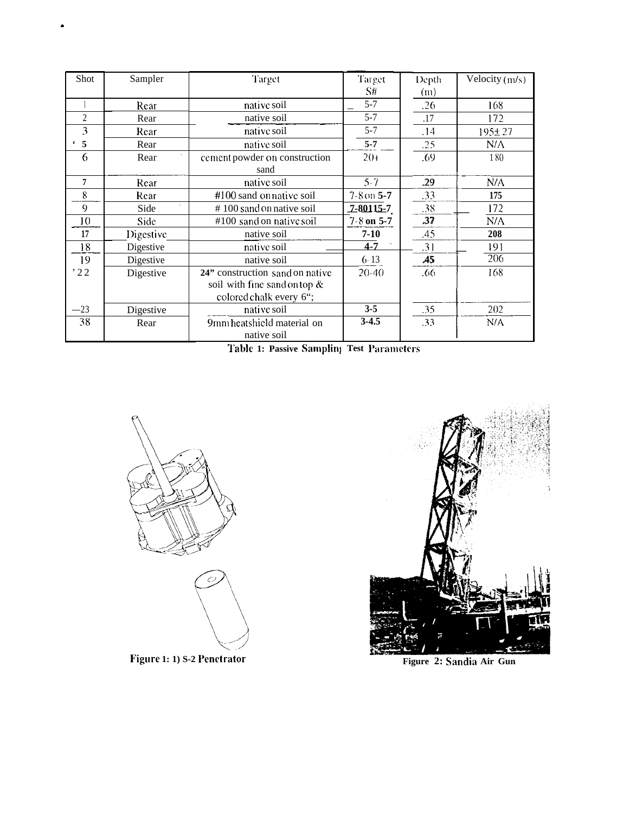| Shot           | Sampler   | Target                          | Target             | Depth            | Velocity (m/s) |
|----------------|-----------|---------------------------------|--------------------|------------------|----------------|
|                |           |                                 | S#                 | (m)              |                |
|                | Rear      | native soil                     | $5 - 7$            | .26              | 168            |
| $\overline{2}$ | Rear      | native soil                     | $5 - 7$            | .17              | 172            |
| 3              | Rear      | native soil                     | $5 - 7$            | .14              | $195 + 27$     |
| 5              | Rear      | native soil                     | $5 - 7$            | .25              | N/A            |
| 6              | Rear      | cement powder on construction   | $20+$              | .69              | 180            |
|                |           | sand                            |                    |                  |                |
| 7              | Rear      | native soil                     | $5 - 7$            | .29              | N/A            |
| 8              | Rear      | #100 sand on native soil        | $7 - 8$ on $5 - 7$ | .33              | 175            |
| 9              | Side      | #100 sand on native soil        | <u>7-80115-7</u>   | .38              | 172            |
| 10             | Side      | #100 sand on native soil        | $7 - 8$ on 5-7     | .37              | N/A            |
| 17             | Digestive | native soil                     | $7 - 10$           | .45              | 208            |
| 18             | Digestive | native soil                     | $4 - 7$            | .31              | 191            |
| 19             | Digestive | native soil                     | $6 - 13$           | $\overline{.45}$ | 206            |
| '22            | Digestive | 24" construction sand on native | $20-40$            | .66              | 168            |
|                |           | soil with fine sand on top &    |                    |                  |                |
|                |           | colored chalk every 6";         |                    |                  |                |
| $-23$          | Digestive | native soil                     | $3 - 5$            | .35              | 202            |
| 38             | Rear      | 9mm heatshield material on      | $3-4.5$            | .33              | N/A            |
|                |           | native soil                     |                    |                  |                |

Table 1: Passive Sampling Test Parameters



Figure 1: 1) S-2 Penetrator



Figure 2: Sandia Air Gun